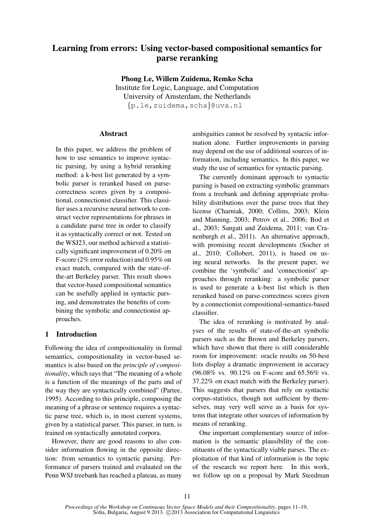# Learning from errors: Using vector-based compositional semantics for parse reranking

Phong Le, Willem Zuidema, Remko Scha

Institute for Logic, Language, and Computation University of Amsterdam, the Netherlands {p.le,zuidema,scha}@uva.nl

## Abstract

In this paper, we address the problem of how to use semantics to improve syntactic parsing, by using a hybrid reranking method: a k-best list generated by a symbolic parser is reranked based on parsecorrectness scores given by a compositional, connectionist classifier. This classifier uses a recursive neural network to construct vector representations for phrases in a candidate parse tree in order to classify it as syntactically correct or not. Tested on the WSJ23, our method achieved a statistically significant improvement of 0.20% on F-score (2% error reduction) and 0.95% on exact match, compared with the state-ofthe-art Berkeley parser. This result shows that vector-based compositional semantics can be usefully applied in syntactic parsing, and demonstrates the benefits of combining the symbolic and connectionist approaches.

## 1 Introduction

Following the idea of compositionality in formal semantics, compositionality in vector-based semantics is also based on the *principle of compositionality*, which says that "The meaning of a whole is a function of the meanings of the parts and of the way they are syntactically combined" (Partee, 1995). According to this principle, composing the meaning of a phrase or sentence requires a syntactic parse tree, which is, in most current systems, given by a statistical parser. This parser, in turn, is trained on syntactically annotated corpora.

However, there are good reasons to also consider information flowing in the opposite direction: from semantics to syntactic parsing. Performance of parsers trained and evaluated on the Penn WSJ treebank has reached a plateau, as many ambiguities cannot be resolved by syntactic information alone. Further improvements in parsing may depend on the use of additional sources of information, including semantics. In this paper, we study the use of semantics for syntactic parsing.

The currently dominant approach to syntactic parsing is based on extracting symbolic grammars from a treebank and defining appropriate probability distributions over the parse trees that they license (Charniak, 2000; Collins, 2003; Klein and Manning, 2003; Petrov et al., 2006; Bod et al., 2003; Sangati and Zuidema, 2011; van Cranenburgh et al., 2011). An alternative approach, with promising recent developments (Socher et al., 2010; Collobert, 2011), is based on using neural networks. In the present paper, we combine the 'symbolic' and 'connectionist' approaches through reranking: a symbolic parser is used to generate a k-best list which is then reranked based on parse-correctness scores given by a connectionist compositional-semantics-based classifier.

The idea of reranking is motivated by analyses of the results of state-of-the-art symbolic parsers such as the Brown and Berkeley parsers, which have shown that there is still considerable room for improvement: oracle results on 50-best lists display a dramatic improvement in accuracy (96.08% vs. 90.12% on F-score and 65.56% vs. 37.22% on exact match with the Berkeley parser). This suggests that parsers that rely on syntactic corpus-statistics, though not sufficient by themselves, may very well serve as a basis for systems that integrate other sources of information by means of reranking.

One important complementary source of information is the semantic plausibility of the constituents of the syntactically viable parses. The exploitation of that kind of information is the topic of the research we report here. In this work, we follow up on a proposal by Mark Steedman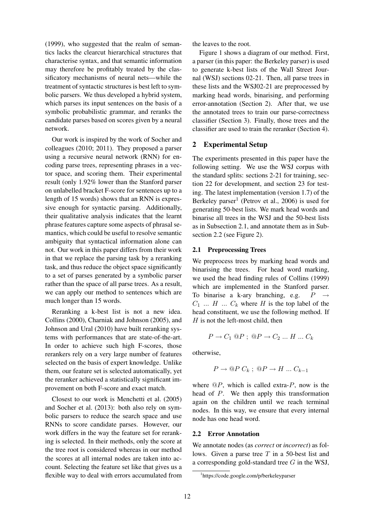(1999), who suggested that the realm of semantics lacks the clearcut hierarchical structures that characterise syntax, and that semantic information may therefore be profitably treated by the classificatory mechanisms of neural nets—while the treatment of syntactic structures is best left to symbolic parsers. We thus developed a hybrid system, which parses its input sentences on the basis of a symbolic probabilistic grammar, and reranks the candidate parses based on scores given by a neural network.

Our work is inspired by the work of Socher and colleagues (2010; 2011). They proposed a parser using a recursive neural network (RNN) for encoding parse trees, representing phrases in a vector space, and scoring them. Their experimental result (only 1.92% lower than the Stanford parser on unlabelled bracket F-score for sentences up to a length of 15 words) shows that an RNN is expressive enough for syntactic parsing. Additionally, their qualitative analysis indicates that the learnt phrase features capture some aspects of phrasal semantics, which could be useful to resolve semantic ambiguity that syntactical information alone can not. Our work in this paper differs from their work in that we replace the parsing task by a reranking task, and thus reduce the object space significantly to a set of parses generated by a symbolic parser rather than the space of all parse trees. As a result, we can apply our method to sentences which are much longer than 15 words.

Reranking a k-best list is not a new idea. Collins (2000), Charniak and Johnson (2005), and Johnson and Ural (2010) have built reranking systems with performances that are state-of-the-art. In order to achieve such high F-scores, those rerankers rely on a very large number of features selected on the basis of expert knowledge. Unlike them, our feature set is selected automatically, yet the reranker achieved a statistically significant improvement on both F-score and exact match.

Closest to our work is Menchetti et al. (2005) and Socher et al. (2013): both also rely on symbolic parsers to reduce the search space and use RNNs to score candidate parses. However, our work differs in the way the feature set for reranking is selected. In their methods, only the score at the tree root is considered whereas in our method the scores at all internal nodes are taken into account. Selecting the feature set like that gives us a flexible way to deal with errors accumulated from the leaves to the root.

Figure 1 shows a diagram of our method. First, a parser (in this paper: the Berkeley parser) is used to generate k-best lists of the Wall Street Journal (WSJ) sections 02-21. Then, all parse trees in these lists and the WSJ02-21 are preprocessed by marking head words, binarising, and performing error-annotation (Section 2). After that, we use the annotated trees to train our parse-correctness classifier (Section 3). Finally, those trees and the classifier are used to train the reranker (Section 4).

## 2 Experimental Setup

The experiments presented in this paper have the following setting. We use the WSJ corpus with the standard splits: sections 2-21 for training, section 22 for development, and section 23 for testing. The latest implementation (version 1.7) of the Berkeley parser<sup>1</sup> (Petrov et al., 2006) is used for generating 50-best lists. We mark head words and binarise all trees in the WSJ and the 50-best lists as in Subsection 2.1, and annotate them as in Subsection 2.2 (see Figure 2).

## 2.1 Preprocessing Trees

We preprocess trees by marking head words and binarising the trees. For head word marking, we used the head finding rules of Collins (1999) which are implemented in the Stanford parser. To binarise a k-ary branching, e.g.  $P \rightarrow$  $C_1$  ...  $H$  ...  $C_k$  where  $H$  is the top label of the head constituent, we use the following method. If  $H$  is not the left-most child, then

$$
P \to C_1 @ P \; ; \; @ P \to C_2 \ldots H \ldots C_k
$$

otherwise,

$$
P \to @P C_k \; ; \; @P \to H \ldots C_{k-1}
$$

where  $\mathbb{Q}P$ , which is called extra- $P$ , now is the head of P. We then apply this transformation again on the children until we reach terminal nodes. In this way, we ensure that every internal node has one head word.

## 2.2 Error Annotation

We annotate nodes (as *correct* or *incorrect*) as follows. Given a parse tree  $T$  in a 50-best list and a corresponding gold-standard tree  $G$  in the WSJ,

<sup>1</sup> https://code.google.com/p/berkeleyparser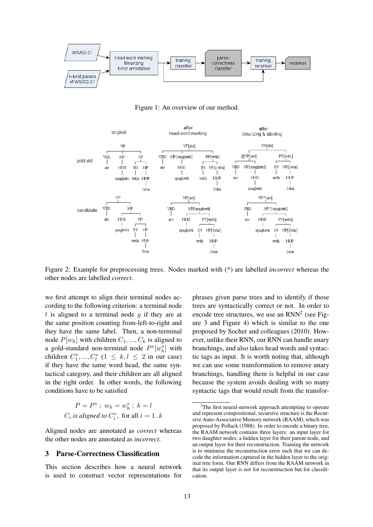

Figure 1: An overview of our method.



Figure 2: Example for preprocessing trees. Nodes marked with (\*) are labelled *incorrect* whereas the other nodes are labelled *correct*.

we first attempt to align their terminal nodes according to the following criterion: a terminal node  $t$  is aligned to a terminal node  $g$  if they are at the same position counting from-left-to-right and they have the same label. Then, a non-terminal node  $P[w_h]$  with children  $C_1, ..., C_k$  is aligned to a gold-standard non-terminal node  $P^*[w_h^*]$  with children  $C_1^*,..., C_l^*$  ( $1 \leq k, l \leq 2$  in our case) if they have the same word head, the same syntactical category, and their children are all aligned in the right order. In other words, the following conditions have to be satisfied

$$
P = P^* \; ; \; w_h = w_h^* \; ; \; k = l
$$
  

$$
C_i \; is \; aligned \; to \; C_i^* \; for \; all \; i = 1..k
$$

Aligned nodes are annotated as *correct* whereas the other nodes are annotated as *incorrect*.

## 3 Parse-Correctness Classification

This section describes how a neural network is used to construct vector representations for phrases given parse trees and to identify if those trees are syntactically correct or not. In order to encode tree structures, we use an  $RNN<sup>2</sup>$  (see Figure 3 and Figure 4) which is similar to the one proposed by Socher and colleagues (2010). However, unlike their RNN, our RNN can handle unary branchings, and also takes head words and syntactic tags as input. It is worth noting that, although we can use some transformation to remove unary branchings, handling them is helpful in our case because the system avoids dealing with so many syntactic tags that would result from the transfor-

 $2$ The first neural-network approach attempting to operate and represent compositional, recursive structure is the Recursive Auto-Associative Memory network (RAAM), which was proposed by Pollack (1988). In order to encode a binary tree, the RAAM network contains three layers: an input layer for two daughter nodes, a hidden layer for their parent node, and an output layer for their reconstruction. Training the network is to minimise the reconstruction error such that we can decode the information captured in the hidden layer to the original tree form. Our RNN differs from the RAAM network in that its output layer is not for reconstruction but for classification.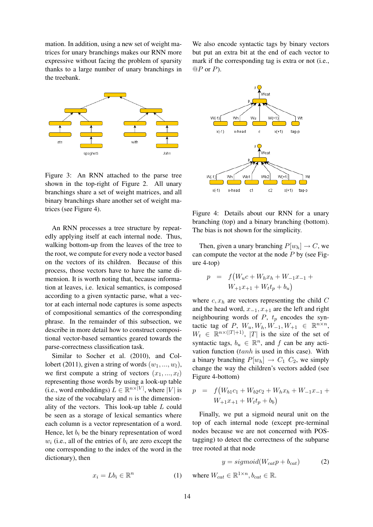mation. In addition, using a new set of weight matrices for unary branchings makes our RNN more expressive without facing the problem of sparsity thanks to a large number of unary branchings in the treebank.



Figure 3: An RNN attached to the parse tree shown in the top-right of Figure 2. All unary branchings share a set of weight matrices, and all binary branchings share another set of weight matrices (see Figure 4).

An RNN processes a tree structure by repeatedly applying itself at each internal node. Thus, walking bottom-up from the leaves of the tree to the root, we compute for every node a vector based on the vectors of its children. Because of this process, those vectors have to have the same dimension. It is worth noting that, because information at leaves, i.e. lexical semantics, is composed according to a given syntactic parse, what a vector at each internal node captures is some aspects of compositional semantics of the corresponding phrase. In the remainder of this subsection, we describe in more detail how to construct compositional vector-based semantics geared towards the parse-correctness classification task.

Similar to Socher et al. (2010), and Collobert (2011), given a string of words  $(w_1, ..., w_l)$ , we first compute a string of vectors  $(x_1, ..., x_l)$ representing those words by using a look-up table (i.e., word embeddings)  $L \in \mathbb{R}^{n \times |V|}$ , where |V| is the size of the vocabulary and  $n$  is the dimensionality of the vectors. This look-up table L could be seen as a storage of lexical semantics where each column is a vector representation of a word. Hence, let  $b_i$  be the binary representation of word  $w_i$  (i.e., all of the entries of  $b_i$  are zero except the one corresponding to the index of the word in the dictionary), then

> $x_i = Lb_i \in \mathbb{R}^n$ (1)

We also encode syntactic tags by binary vectors but put an extra bit at the end of each vector to mark if the corresponding tag is extra or not (i.e.,  $\mathbb{Q}P$  or  $P$ ).



Figure 4: Details about our RNN for a unary branching (top) and a binary branching (bottom). The bias is not shown for the simplicity.

Then, given a unary branching  $P[w_h] \to C$ , we can compute the vector at the node  $P$  by (see Figure 4-top)

$$
p = f(W_u c + W_h x_h + W_{-1} x_{-1} + W_{+1} x_{+1} + W_t t_p + b_u)
$$

where  $c, x_h$  are vectors representing the child  $C$ and the head word,  $x_{-1}$ ,  $x_{+1}$  are the left and right neighbouring words of  $P$ ,  $t_p$  encodes the syntactic tag of P,  $W_u, W_h, W_{-1}, W_{+1} \in \mathbb{R}^{n \times n}$ ,  $W_t \in \mathbb{R}^{n \times (|T|+1)}$ , |T| is the size of the set of syntactic tags,  $b_u \in \mathbb{R}^n$ , and f can be any activation function  $(tanh$  is used in this case). With a binary branching  $P[w_h] \rightarrow C_1 \, C_2$ , we simply change the way the children's vectors added (see Figure 4-bottom)

$$
p = f(W_{b1}c_1 + W_{b2}c_2 + W_hx_h + W_{-1}x_{-1} + W_{+1}x_{+1} + W_t t_p + b_b)
$$

Finally, we put a sigmoid neural unit on the top of each internal node (except pre-terminal nodes because we are not concerned with POStagging) to detect the correctness of the subparse tree rooted at that node

$$
y = sigmoid(W_{cat}p + b_{cat})
$$
 (2)

where  $W_{cat} \in \mathbb{R}^{1 \times n}$ ,  $b_{cat} \in \mathbb{R}$ .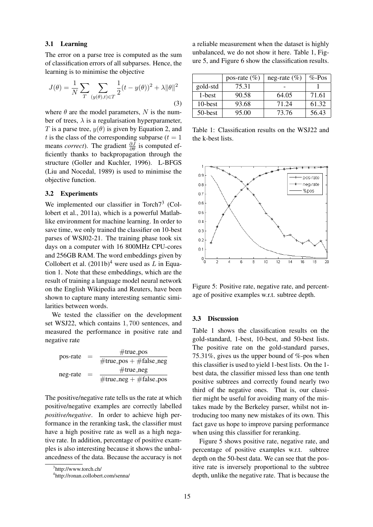#### 3.1 Learning

The error on a parse tree is computed as the sum of classification errors of all subparses. Hence, the learning is to minimise the objective

$$
J(\theta) = \frac{1}{N} \sum_{T} \sum_{(y(\theta), t) \in T} \frac{1}{2} (t - y(\theta))^2 + \lambda ||\theta||^2
$$
\n(3)

where  $\theta$  are the model parameters, N is the number of trees,  $\lambda$  is a regularisation hyperparameter, T is a parse tree,  $y(\theta)$  is given by Equation 2, and t is the class of the corresponding subparse ( $t = 1$ ) means *correct*). The gradient  $\frac{\partial J}{\partial \theta}$  is computed efficiently thanks to backpropagation through the structure (Goller and Kuchler, 1996). L-BFGS (Liu and Nocedal, 1989) is used to minimise the objective function.

#### 3.2 Experiments

We implemented our classifier in Torch $7<sup>3</sup>$  (Collobert et al., 2011a), which is a powerful Matlablike environment for machine learning. In order to save time, we only trained the classifier on 10-best parses of WSJ02-21. The training phase took six days on a computer with 16 800MHz CPU-cores and 256GB RAM. The word embeddings given by Collobert et al.  $(2011b)^4$  were used as L in Equation 1. Note that these embeddings, which are the result of training a language model neural network on the English Wikipedia and Reuters, have been shown to capture many interesting semantic similarities between words.

We tested the classifier on the development set WSJ22, which contains 1, 700 sentences, and measured the performance in positive rate and negative rate

| pos-rate | $=$      | $#true_p$                      |
|----------|----------|--------------------------------|
|          |          | $\#$ true_pos + $\#$ false_neg |
| neg-rate | $\equiv$ | $#true_neg$                    |
|          |          | $\#$ true_neg + $\#$ false_pos |

The positive/negative rate tells us the rate at which positive/negative examples are correctly labelled *positive/negative*. In order to achieve high performance in the reranking task, the classifier must have a high positive rate as well as a high negative rate. In addition, percentage of positive examples is also interesting because it shows the unbalancedness of the data. Because the accuracy is not

a reliable measurement when the dataset is highly unbalanced, we do not show it here. Table 1, Figure 5, and Figure 6 show the classification results.

|            | pos-rate $(\%)$ | neg-rate $(\% )$ | $\%$ -Pos |
|------------|-----------------|------------------|-----------|
| gold-std   | 75.31           |                  |           |
| 1-best     | 90.58           | 64.05            | 71.61     |
| 10-best    | 93.68           | 71 24            | 61.32     |
| $50$ -best | 95.00           | 73.76            | 56.43     |

Table 1: Classification results on the WSJ22 and the k-best lists.



Figure 5: Positive rate, negative rate, and percentage of positive examples w.r.t. subtree depth.

#### 3.3 Discussion

Table 1 shows the classification results on the gold-standard, 1-best, 10-best, and 50-best lists. The positive rate on the gold-standard parses, 75.31%, gives us the upper bound of %-pos when this classifier is used to yield 1-best lists. On the 1 best data, the classifier missed less than one tenth positive subtrees and correctly found nearly two third of the negative ones. That is, our classifier might be useful for avoiding many of the mistakes made by the Berkeley parser, whilst not introducing too many new mistakes of its own. This fact gave us hope to improve parsing performance when using this classifier for reranking.

Figure 5 shows positive rate, negative rate, and percentage of positive examples w.r.t. subtree depth on the 50-best data. We can see that the positive rate is inversely proportional to the subtree depth, unlike the negative rate. That is because the

<sup>3</sup> http://www.torch.ch/

<sup>4</sup> http://ronan.collobert.com/senna/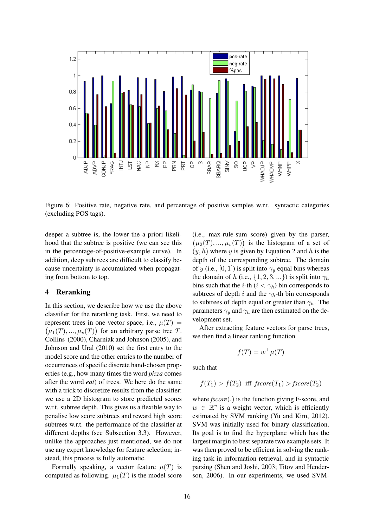

Figure 6: Positive rate, negative rate, and percentage of positive samples w.r.t. syntactic categories (excluding POS tags).

deeper a subtree is, the lower the a priori likelihood that the subtree is positive (we can see this in the percentage-of-positive-example curve). In addition, deep subtrees are difficult to classify because uncertainty is accumulated when propagating from bottom to top.

## 4 Reranking

In this section, we describe how we use the above classifier for the reranking task. First, we need to represent trees in one vector space, i.e.,  $\mu(T)$  =  $(\mu_1(T), ..., \mu_v(T))$  for an arbitrary parse tree T. Collins (2000), Charniak and Johnson (2005), and Johnson and Ural (2010) set the first entry to the model score and the other entries to the number of occurrences of specific discrete hand-chosen properties (e.g., how many times the word *pizza* comes after the word *eat*) of trees. We here do the same with a trick to discretize results from the classifier: we use a 2D histogram to store predicted scores w.r.t. subtree depth. This gives us a flexible way to penalise low score subtrees and reward high score subtrees w.r.t. the performance of the classifier at different depths (see Subsection 3.3). However, unlike the approaches just mentioned, we do not use any expert knowledge for feature selection; instead, this process is fully automatic.

Formally speaking, a vector feature  $\mu(T)$  is computed as following.  $\mu_1(T)$  is the model score (i.e., max-rule-sum score) given by the parser,  $(\mu_2(T), ..., \mu_v(T))$  is the histogram of a set of  $(y, h)$  where y is given by Equation 2 and h is the depth of the corresponding subtree. The domain of y (i.e., [0, 1]) is split into  $\gamma_y$  equal bins whereas the domain of h (i.e.,  $\{1, 2, 3, ...\}$ ) is split into  $\gamma_h$ bins such that the *i*-th ( $i < \gamma_h$ ) bin corresponds to subtrees of depth i and the  $\gamma_h$ -th bin corresponds to subtrees of depth equal or greater than  $\gamma_h$ . The parameters  $\gamma_y$  and  $\gamma_h$  are then estimated on the development set.

After extracting feature vectors for parse trees, we then find a linear ranking function

$$
f(T) = w^\top \mu(T)
$$

such that

$$
f(T_1) > f(T_2) \text{ iff } \text{fscore}(T_1) > \text{fscore}(T_2)
$$

where *fscore*(.) is the function giving F-score, and  $w \in \mathbb{R}^v$  is a weight vector, which is efficiently estimated by SVM ranking (Yu and Kim, 2012). SVM was initially used for binary classification. Its goal is to find the hyperplane which has the largest margin to best separate two example sets. It was then proved to be efficient in solving the ranking task in information retrieval, and in syntactic parsing (Shen and Joshi, 2003; Titov and Henderson, 2006). In our experiments, we used SVM-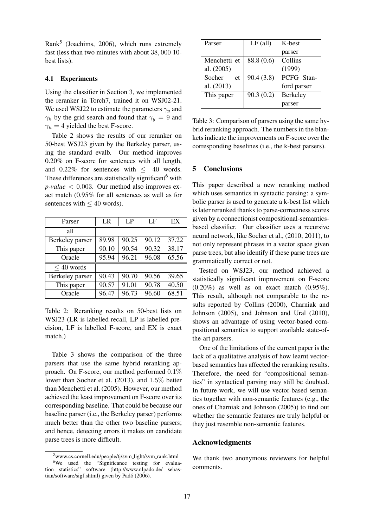Rank<sup>5</sup> (Joachims, 2006), which runs extremely fast (less than two minutes with about 38, 000 10 best lists).

## 4.1 Experiments

Using the classifier in Section 3, we implemented the reranker in Torch7, trained it on WSJ02-21. We used WSJ22 to estimate the parameters  $\gamma_u$  and  $\gamma_h$  by the grid search and found that  $\gamma_y = 9$  and  $\gamma_h = 4$  yielded the best F-score.

Table 2 shows the results of our reranker on 50-best WSJ23 given by the Berkeley parser, using the standard evalb. Our method improves 0.20% on F-score for sentences with all length, and  $0.22\%$  for sentences with  $\leq$  40 words. These differences are statistically significant<sup>6</sup> with  $p$ -value  $\lt$  0.003. Our method also improves exact match (0.95% for all sentences as well as for sentences with  $\leq 40$  words).

| Parser          | LR    | LP    | LF    | EX    |
|-----------------|-------|-------|-------|-------|
| all             |       |       |       |       |
| Berkeley parser | 89.98 | 90.25 | 90.12 | 37.22 |
| This paper      | 90.10 | 90.54 | 90.32 | 38.17 |
| Oracle          | 95.94 | 96.21 | 96.08 | 65.56 |
| $< 40$ words    |       |       |       |       |
| Berkeley parser | 90.43 | 90.70 | 90.56 | 39.65 |
| This paper      | 90.57 | 91.01 | 90.78 | 40.50 |
| Oracle          | 96.47 | 96.73 | 96.60 | 68.51 |

Table 2: Reranking results on 50-best lists on WSJ23 (LR is labelled recall, LP is labelled precision, LF is labelled F-score, and EX is exact match.)

Table 3 shows the comparison of the three parsers that use the same hybrid reranking approach. On F-score, our method performed 0.1% lower than Socher et al. (2013), and 1.5% better than Menchetti et al. (2005). However, our method achieved the least improvement on F-score over its corresponding baseline. That could be because our baseline parser (i.e., the Berkeley parser) performs much better than the other two baseline parsers; and hence, detecting errors it makes on candidate parse trees is more difficult.

| Parser       | $LF$ (all) | K-best          |
|--------------|------------|-----------------|
|              |            | parser          |
| Menchetti et | 88.8 (0.6) | Collins         |
| al. (2005)   |            | (1999)          |
| Socher<br>et | 90.4(3.8)  | PCFG Stan-      |
| al. (2013)   |            | ford parser     |
| This paper   | 90.3(0.2)  | <b>Berkeley</b> |
|              |            | arser           |

Table 3: Comparison of parsers using the same hybrid reranking approach. The numbers in the blankets indicate the improvements on F-score over the corresponding baselines (i.e., the k-best parsers).

## 5 Conclusions

This paper described a new reranking method which uses semantics in syntactic parsing: a symbolic parser is used to generate a k-best list which is later reranked thanks to parse-correctness scores given by a connectionist compositional-semanticsbased classifier. Our classifier uses a recursive neural network, like Socher et al., (2010; 2011), to not only represent phrases in a vector space given parse trees, but also identify if these parse trees are grammatically correct or not.

Tested on WSJ23, our method achieved a statistically significant improvement on F-score  $(0.20\%)$  as well as on exact match  $(0.95\%)$ . This result, although not comparable to the results reported by Collins (2000), Charniak and Johnson (2005), and Johnson and Ural (2010), shows an advantage of using vector-based compositional semantics to support available state-ofthe-art parsers.

One of the limitations of the current paper is the lack of a qualitative analysis of how learnt vectorbased semantics has affected the reranking results. Therefore, the need for "compositional semantics" in syntactical parsing may still be doubted. In future work, we will use vector-based semantics together with non-semantic features (e.g., the ones of Charniak and Johnson (2005)) to find out whether the semantic features are truly helpful or they just resemble non-semantic features.

## Acknowledgments

We thank two anonymous reviewers for helpful comments.

<sup>&</sup>lt;sup>5</sup>www.cs.cornell.edu/people/tj/svm\_light/svm\_rank.html <sup>6</sup>We used the "Significance testing for evaluation statistics" software (http://www.nlpado.de/ sebastian/software/sigf.shtml) given by Padó (2006).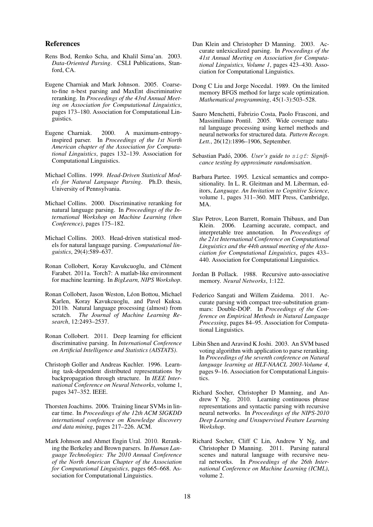#### References

- Rens Bod, Remko Scha, and Khalil Sima'an. 2003. *Data-Oriented Parsing*. CSLI Publications, Stanford, CA.
- Eugene Charniak and Mark Johnson. 2005. Coarseto-fine n-best parsing and MaxEnt discriminative reranking. In *Proceedings of the 43rd Annual Meeting on Association for Computational Linguistics*, pages 173–180. Association for Computational Linguistics.
- Eugene Charniak. 2000. A maximum-entropyinspired parser. In *Proceedings of the 1st North American chapter of the Association for Computational Linguistics*, pages 132–139. Association for Computational Linguistics.
- Michael Collins. 1999. *Head-Driven Statistical Models for Natural Language Parsing*. Ph.D. thesis, University of Pennsylvania.
- Michael Collins. 2000. Discriminative reranking for natural language parsing. In *Proceedings of the International Workshop on Machine Learning (then Conference)*, pages 175–182.
- Michael Collins. 2003. Head-driven statistical models for natural language parsing. *Computational linguistics*, 29(4):589–637.
- Ronan Collobert, Koray Kavukcuoglu, and Clément Farabet. 2011a. Torch7: A matlab-like environment for machine learning. In *BigLearn, NIPS Workshop*.
- Ronan Collobert, Jason Weston, Léon Bottou, Michael Karlen, Koray Kavukcuoglu, and Pavel Kuksa. 2011b. Natural language processing (almost) from scratch. *The Journal of Machine Learning Research*, 12:2493–2537.
- Ronan Collobert. 2011. Deep learning for efficient discriminative parsing. In *International Conference on Artificial Intelligence and Statistics (AISTATS)*.
- Christoph Goller and Andreas Kuchler. 1996. Learning task-dependent distributed representations by backpropagation through structure. In *IEEE International Conference on Neural Networks*, volume 1, pages 347–352. IEEE.
- Thorsten Joachims. 2006. Training linear SVMs in linear time. In *Proceedings of the 12th ACM SIGKDD international conference on Knowledge discovery and data mining*, pages 217–226. ACM.
- Mark Johnson and Ahmet Engin Ural. 2010. Reranking the Berkeley and Brown parsers. In *Human Language Technologies: The 2010 Annual Conference of the North American Chapter of the Association for Computational Linguistics*, pages 665–668. Association for Computational Linguistics.
- Dan Klein and Christopher D Manning. 2003. Accurate unlexicalized parsing. In *Proceedings of the 41st Annual Meeting on Association for Computational Linguistics, Volume 1*, pages 423–430. Association for Computational Linguistics.
- Dong C Liu and Jorge Nocedal. 1989. On the limited memory BFGS method for large scale optimization. *Mathematical programming*, 45(1-3):503–528.
- Sauro Menchetti, Fabrizio Costa, Paolo Frasconi, and Massimiliano Pontil. 2005. Wide coverage natural language processing using kernel methods and neural networks for structured data. *Pattern Recogn. Lett.*, 26(12):1896–1906, September.
- Sebastian Padó, 2006. User's guide to sigf: Signifi*cance testing by approximate randomisation*.
- Barbara Partee. 1995. Lexical semantics and compositionality. In L. R. Gleitman and M. Liberman, editors, *Language. An Invitation to Cognitive Science*, volume 1, pages 311–360. MIT Press, Cambridge, MA.
- Slav Petrov, Leon Barrett, Romain Thibaux, and Dan Klein. 2006. Learning accurate, compact, and interpretable tree annotation. In *Proceedings of the 21st International Conference on Computational Linguistics and the 44th annual meeting of the Association for Computational Linguistics*, pages 433– 440. Association for Computational Linguistics.
- Jordan B Pollack. 1988. Recursive auto-associative memory. *Neural Networks*, 1:122.
- Federico Sangati and Willem Zuidema. 2011. Accurate parsing with compact tree-substitution grammars: Double-DOP. In *Proceedings of the Conference on Empirical Methods in Natural Language Processing*, pages 84–95. Association for Computational Linguistics.
- Libin Shen and Aravind K Joshi. 2003. An SVM based voting algorithm with application to parse reranking. In *Proceedings of the seventh conference on Natural language learning at HLT-NAACL 2003-Volume 4*, pages 9–16. Association for Computational Linguistics.
- Richard Socher, Christopher D Manning, and Andrew Y Ng. 2010. Learning continuous phrase representations and syntactic parsing with recursive neural networks. In *Proceedings of the NIPS-2010 Deep Learning and Unsupervised Feature Learning Workshop*.
- Richard Socher, Cliff C Lin, Andrew Y Ng, and Christopher D Manning. 2011. Parsing natural scenes and natural language with recursive neural networks. In *Proceedings of the 26th International Conference on Machine Learning (ICML)*, volume 2.